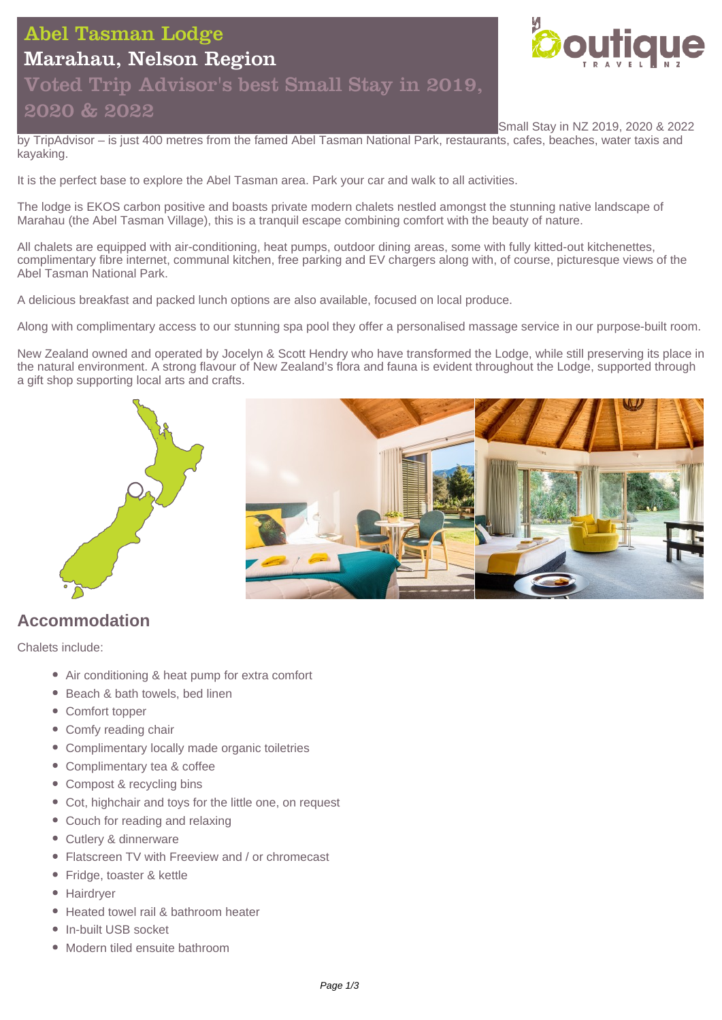# Abel Tasman Lodge

# Marahau, Nelson Region

Voted Trip Advisor's best Small Stay in 2019,

## 2020 & 2022



Small Stay in NZ 2019, 2020 & 2022

by TripAdvisor – is just 400 metres from the famed Abel Tasman National Park, restaurants, cafes, beaches, water taxis and kayaking.

It is the perfect base to explore the Abel Tasman area. Park your car and walk to all activities.

The lodge is EKOS carbon positive and boasts private modern chalets nestled amongst the stunning native landscape of Marahau (the Abel Tasman Village), this is a tranquil escape combining comfort with the beauty of nature.

All chalets are equipped with air-conditioning, heat pumps, outdoor dining areas, some with fully kitted-out kitchenettes, complimentary fibre internet, communal kitchen, free parking and EV chargers along with, of course, picturesque views of the Abel Tasman National Park.

A delicious breakfast and packed lunch options are also available, focused on local produce.

Along with complimentary access to our stunning spa pool they offer a personalised massage service in our purpose-built room.

New Zealand owned and operated by Jocelyn & Scott Hendry who have transformed the Lodge, while still preserving its place in the natural environment. A strong flavour of New Zealand's flora and fauna is evident throughout the Lodge, supported through a gift shop supporting local arts and crafts.



## **Accommodation**

Chalets include:

- Air conditioning & heat pump for extra comfort
- Beach & bath towels, bed linen
- Comfort topper
- Comfy reading chair
- Complimentary locally made organic toiletries
- Complimentary tea & coffee
- Compost & recycling bins
- Cot, highchair and toys for the little one, on request
- Couch for reading and relaxing
- Cutlery & dinnerware
- Flatscreen TV with Freeview and / or chromecast
- Fridge, toaster & kettle
- Hairdrver
- Heated towel rail & bathroom heater
- In-built USB socket
- Modern tiled ensuite bathroom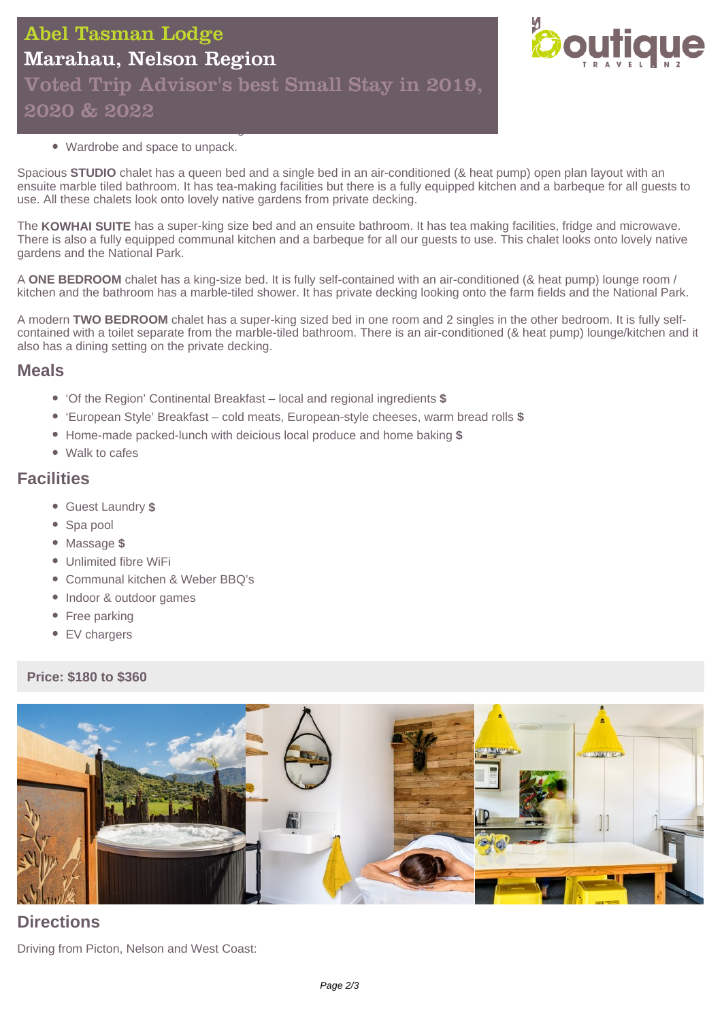# Abel Tasman Lodge Marahau, Nelson Region Voted Trip Advisor's best Small Stay in 2019, 2020 & 2022



Wardrobe and space to unpack.

Private indoor and outdoor dining

Spacious **STUDIO** chalet has a queen bed and a single bed in an air-conditioned (& heat pump) open plan layout with an ensuite marble tiled bathroom. It has tea-making facilities but there is a fully equipped kitchen and a barbeque for all guests to use. All these chalets look onto lovely native gardens from private decking.

The **KOWHAI SUITE** has a super-king size bed and an ensuite bathroom. It has tea making facilities, fridge and microwave. There is also a fully equipped communal kitchen and a barbeque for all our guests to use. This chalet looks onto lovely native gardens and the National Park.

A **ONE BEDROOM** chalet has a king-size bed. It is fully self-contained with an air-conditioned (& heat pump) lounge room / kitchen and the bathroom has a marble-tiled shower. It has private decking looking onto the farm fields and the National Park.

A modern **TWO BEDROOM** chalet has a super-king sized bed in one room and 2 singles in the other bedroom. It is fully selfcontained with a toilet separate from the marble-tiled bathroom. There is an air-conditioned (& heat pump) lounge/kitchen and it also has a dining setting on the private decking.

### **Meals**

- 'Of the Region' Continental Breakfast local and regional ingredients **\$**
- 'European Style' Breakfast cold meats, European-style cheeses, warm bread rolls **\$**
- Home-made packed-lunch with deicious local produce and home baking **\$**
- Walk to cafes

### **Facilities**

- Guest Laundry **\$**
- Spa pool
- Massage **\$**
- Unlimited fibre WiFi
- Communal kitchen & Weber BBQ's
- Indoor & outdoor games
- Free parking
- EV chargers

#### **Price: \$180 to \$360**



## **Directions**

Driving from Picton, Nelson and West Coast: